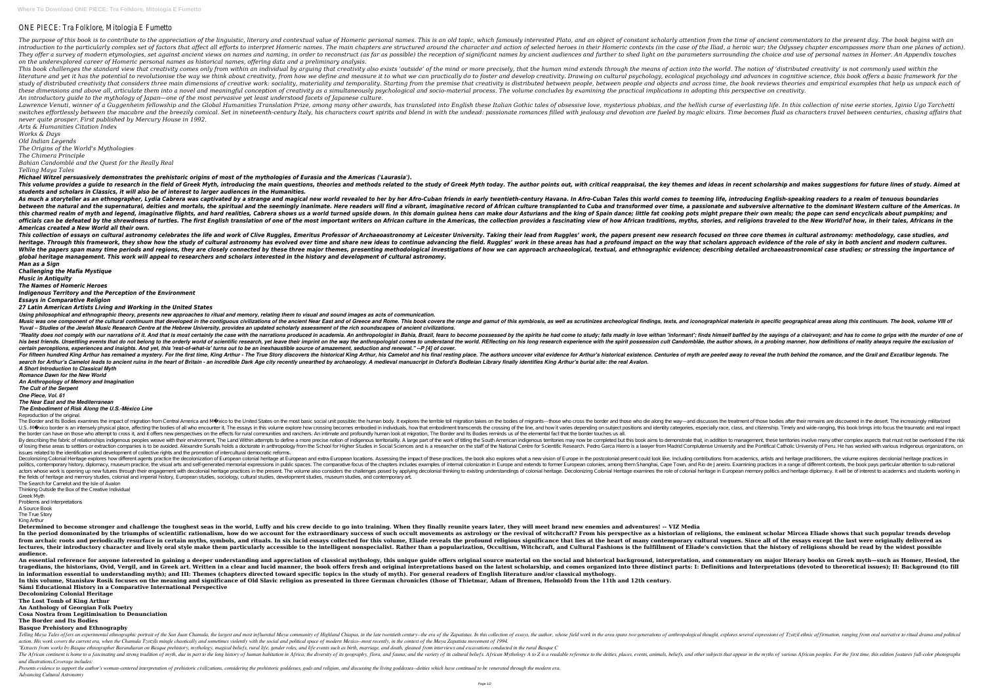# ONE PIECE: Tra Folklore, Mitologia E Fumetto

The purpose of this book is to contribute to the appreciation of the linguistic, literary and contextual value of Homeric personal names. This is an old topic, which famously interested Plato, and an object of constant sch introduction to the particularly complex set of factors that affect all efforts to interpret Homeric names. The main chapters are structured around the character and action of selected heroes in their Homeric contexts (in They offer a survey of modern etymologies, set against ancient views on names and naming, in order to reconstruct (as far as possible) the reception of significant names by ancient audiences and further to shed light on th *on the underexplored career of Homeric personal names as historical names, offering data and a preliminary analysis.* This book challenges the standard view that creativity comes only from within an individual by arguing that creativity also exists 'outside' of the mind or more precisely, that the human mind extends through the means of a literature and yet it has the potential to revolutionise the way we think about creativity, from how we define and measure it to what we can practically do to foster and develop creativity. Drawing on cultural psychology a study of distributed creativity that considers three main dimensions of creative work: sociality, materiality, materiality, materiality, materiality, materiality and temporality. Starting from the premise that creativity i these dimensions and above all, articulate them into a novel and meaningful conception of creativity as a simultaneously psychological and socio-material process. The volume concludes by examining the practical implication *An introductory guide to the mythology of Japan—one of the most pervasive yet least understood facets of Japanese culture.* Lawrence Venuti, winner of a Guagenheim fellowship and the Global Humanities Translation Prize, among many other awards, has translated into English these Italian Gothic tales of obsessive love, mysterious phobias, and the switches effortlessly between the macabre and the breezily comical. Set in nineteenth-century Italy, his characters court spirits and blend in with the undead: passionate romances filled with iealousy and devotion are fuel *never quite prosper. First published by Mercury House in 1992.*

As much a storyteller as an ethnographer, Lydia Cabrera was captivated by a strange and magical new world revealed to her by her Afro-Cuban Tales this world comes to teeming life, introducing English-speaking readers to a between the natural and the supernatural, deities and mortals, the spiritual and the seemingly inanimate. Here readers will find a vibrant, imaginative record of African culture transplanted to Cuba and transformed over ti this charmed realm of myth and legend, imaginative flights, and hard realities, Cabrera shows us a world turned upside down. In this domain guinea hens can make dour Asturians and the king of Spain dance; little fat cookin officials can be defeated by the shrewdness of turtles. The first English translation of one of the most important writers on African culture in the Americas, the collection provides a fascinating view of how African cultu *Americas created a New World all their own.*

This collection of essays on cultural astronomy celebrates the life and work of Clive Ruggles, Emeritus Professor of Archaeoastronomy at Leicester University. Taking their lead from Ruggles' work, the papers present new re heritage. Through this framework, they show how the study of cultural astronomy has evolved over time and share new ideas to continue advancing the field. Ruggles' work in these areas has had a profound impact on the way t While the papers span many time periods and regions, they are closely connected by these three major themes, presenting methodological investigations of how we can approach archaeological, textual, and ethnographic evidenc *global heritage management. This work will appeal to researchers and scholars interested in the history and development of cultural astronomy. Man as a Sign*

*Arts & Humanities Citation Index Works & Days*

*Old Indian Legends*

*The Origins of the World's Mythologies*

*The Chimera Principle*

*Bahian Candomblé and the Quest for the Really Real*

*Telling Maya Tales*

*Michael Witzel persuasively demonstrates the prehistoric origins of most of the mythologies of Eurasia and the Americas ('Laurasia').* This volume provides a guide to research in the field of Greek Myth, introducing the main questions, theories and methods related to the study of Greek Myth today. The author points out, with critical reappraisal, the key *students and scholars in Classics, it will also be of interest to larger audiences in the Humanities.*

Decolonial Heritage explores how different agents practice the decolonization of European colonial heritage at European and extra-European locations. Assessing the impact of these practices, the book also explores what a n politics, contemporary history, diplomacy, museum practice, the visual arts and self-generated memorial expressions in public spaces. The comparative focus of the chapters includes examples of internal colonization in Euro actors whose work is opening up new futures through their engagement with decolonial heritage practices in the present. The volume also considers the role of colonial heritage in European memory politics and heritage diplo the fields of heritage and memory studies, colonial and imperial history, European studies, sociology, cultural studies, development studies, museum studies, and contemporary art. The Search for Camelot and the Isle of Avalon

*Challenging the Mafia Mystique*

*Music in Antiquity*

*The Names of Homeric Heroes*

*Indigenous Territory and the Perception of the Environment*

*Essays in Comparative Religion*

*27 Latin American Artists Living and Working in the United States*

Determined to become stronger and challenge the toughest seas in the world, Luffy and his crew decide to go into training. When they finally reunite years later, they will meet brand new enemies and adventures! -- VIZ Medi In the period domoninated by the triumphs of scientific rationalism, how do we account for the extraordinary success of such occult movements as astrology or the revival of witchcraft? From his perspective as a historian o from archaic roots and periodically resurface in certain myths, symbols, and rituals. In six lucid essays collected for this volume, Eliade reveals the profound religious significance that lies at the heart of many contemp lectures, their introductory character and lively oral style make them particularly accessible to the intelligent nonspecialist. Rather than a popularization, Occultism, Witchcraft, and Cultural Fashions is the fulfillment **audience.**

An essential reference for anyone interested in gaining a deeper understanding and appreciation of classical mythology, this unique guide offers original source material on the social and historical background, interpretat tragedians, the historians, Ovid, Vergil, and in Greek art. Written in a clear and lucid manner, the book offers fresh and original interpretations and Interpretations (devoted to theoretical issues); II: Background (to fi **in information essential to understanding myth); and III: Themes (chapters directed toward specific topics in the study of myth). For general readers of English literature and/or classical mythology. In this volume, Stanisław Rosik focuses on the meaning and significance of Old Slavic religion as presented in three German chronicles (those of Thietmar, Adam of Bremen, Helmold) from the 11th and 12th century. Sámi Educational History in a Comparative International Perspective**

*Using philosophical and ethnographic theory, presents new approaches to ritual and memory, relating them to visual and sound images as acts of communication.* Music was one component of the cultural continuum that developed in the contiguous civilizations of the ancient Near East and of Greece and Rome. This book covers the range and of Greece and Rome. This book covers the rang *Yuval – Studies of the Jewish Music Research Centre at the Hebrew University, provides an updated scholarly assessment of the rich soundscapes of ancient civilizations.* "Reality does not comply with our narrations of it. And that is most certainly the case with the narrations produced in academia. An anthropologist in Bahia, Brazil, fears to become possessed by the spirits he had come to his best friends. Unsettling events that do not belong to the orderly world of scientific research, yet leave their imprint on the way the anthropologist comes to understand the world. REflecting on his long research exper *certain perceptions, experiences and insights. And yet, this 'rest-of-what-is' turns out to be an inexhaustible source of amazement, seduction and renewal." --P [4] of cover.* For fifteen hundred King Arthur has remained a mystery. For the first time, King Arthur - The True Story discovers the historical King Arthur, his Camelot and his final resting place. The authors uncover vital evidence for search for Arthur's Camelot leads to ancient ruins in the heart of Britain - an incredible Dark Age city recently unearthed by archaeology. A medieval manuscript in Oxford's Bodleian Library finally identifies King Arthur' *A Short Introduction to Classical Myth*

Telling Maya Tales of fers an experimental ethnographic portrait of the San Juan Chamula, the largest and most influential Maya community of Highland Chiapas, in the late twentieth century--the era of the Zapatistas. In th action. His work covers the current era, when the Chamula Tzotzils mingle chaotically and sometimes violently with the social and political space of modern Mexico--most recently, in the context of the Maya Zapatista moveme "Extracts from works by Basque ethnographer Barandiaran on Basque prehistory, mythology, magical beliefs, rural life, gender roles, and life events such as birth, marriage, and death, gleaned from interviews and excavation The African continent is home to a fascinating and strong tradition of myth, due in part to the long history of human habitation in Africa; the diversity of its geography, flora, and other subjects that appear in the myths *and illustrations.Coverage includes:*

Presents evidence to support the author's woman-centered interpretation of prehistoric civilizations, considering the prehistoric goddesses, gods and religion, and discussing the living goddesses--deities which have contin *Advancing Cultural Astronomy*

*Romance Dawn for the New World*

*An Anthropology of Memory and Imagination*

*The Cult of the Serpent*

*One Piece, Vol. 61*

## *The Near East and the Mediterranean*

*The Embodiment of Risk Along the U.S.-México Line* Reproduction of the original.

The Border and Its Bodies examines the impact of migration from Central America and México to the United States on the most basic social unit possible: the human body. It explores the treatment of those bodies after their U.S.-Mé xico border is an intensely physical place, affecting the bodies of all who encounter it. The essays in this volume explore how crossing of the line, and how it varies depending on subject positions and identity ca the border can have on those who attempt to cross it, and it offers new perspectives on the effects for rural communities and ranchers. An intimate and profoundly human look at migration, The Border and Its Bodies reminds By describing the fabric of relationships indigenous peoples weave with their environment. The Land Within attempts to define a more precise notion of indigenous territoriality. A large part of the work of titling the Sout of losing these areas to settlers or extraction companies is to be avoided. Alexandre Surralls holds a doctorate in anthropology from the School for Higher Studies in Social Sciences and is a researcher on the staff of the issues related to the identification and development of collective rights and the promotion of intercultural democratic reforms.

Thinking Outside the Box of the Creative Individual

Greek Myth

Problems and Interpretations

A Source Book

The True Story King Arthur

**Decolonizing Colonial Heritage**

**The Lost Tomb of King Arthur An Anthology of Georgian Folk Poetry**

**Cosa Nostra from Legitimisation to Denunciation**

**The Border and Its Bodies**

## **Basque Prehistory and Ethnography**